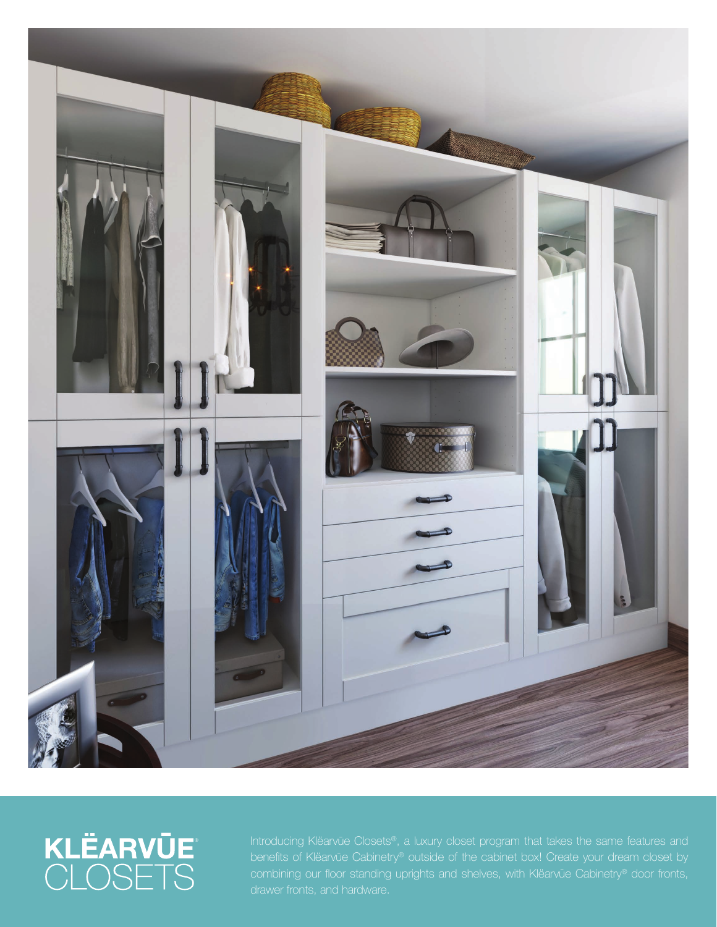

## KLËARVŪE<sup>®</sup><br>CLOSETS

combining our floor standing uprights and shelves, with Klëarvūe Cabinetry® door fronts,